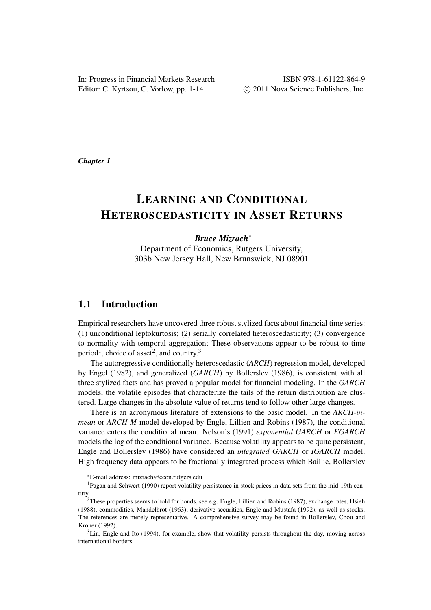In: Progress in Financial Markets Research Editor: C. Kyrtsou, C. Vorlow, pp. 1-14

*Chapter 1*

# LEARNING AND CONDITIONAL HETEROSCEDASTICITY IN ASSET RETURNS

## *Bruce Mizrach*<sup>∗</sup>

Department of Economics, Rutgers University, 303b New Jersey Hall, New Brunswick, NJ 08901

# 1.1 Introduction

Empirical researchers have uncovered three robust stylized facts about financial time series: (1) unconditional leptokurtosis; (2) serially correlated heteroscedasticity; (3) convergence to normality with temporal aggregation; These observations appear to be robust to time period<sup>1</sup>, choice of asset<sup>2</sup>, and country.<sup>3</sup>

The autoregressive conditionally heteroscedastic (*ARCH*) regression model, developed by Engel (1982), and generalized (*GARCH*) by Bollerslev (1986), is consistent with all three stylized facts and has proved a popular model for financial modeling. In the *GARCH* models, the volatile episodes that characterize the tails of the return distribution are clustered. Large changes in the absolute value of returns tend to follow other large changes.

There is an acronymous literature of extensions to the basic model. In the *ARCH-inmean* or *ARCH-M* model developed by Engle, Lillien and Robins (1987), the conditional variance enters the conditional mean. Nelson's (1991) *exponential GARCH* or *EGARCH* models the log of the conditional variance. Because volatility appears to be quite persistent, Engle and Bollerslev (1986) have considered an *integrated GARCH* or *IGARCH* model. High frequency data appears to be fractionally integrated process which Baillie, Bollerslev

<sup>∗</sup>E-mail address: mizrach@econ.rutgers.edu

<sup>1</sup>Pagan and Schwert (1990) report volatility persistence in stock prices in data sets from the mid-19th century.

<sup>&</sup>lt;sup>2</sup>These properties seems to hold for bonds, see e.g. Engle, Lillien and Robins (1987), exchange rates, Hsieh (1988), commodities, Mandelbrot (1963), derivative securities, Engle and Mustafa (1992), as well as stocks. The references are merely representative. A comprehensive survey may be found in Bollerslev, Chou and Kroner (1992).

 $3$ Lin, Engle and Ito (1994), for example, show that volatility persists throughout the day, moving across international borders.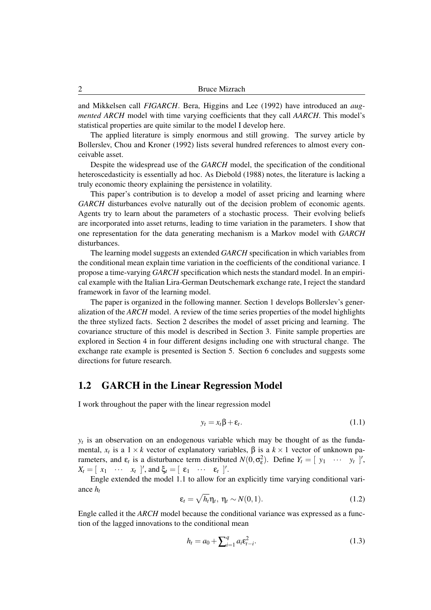and Mikkelsen call *FIGARCH*. Bera, Higgins and Lee (1992) have introduced an *augmented ARCH* model with time varying coefficients that they call *AARCH*. This model's statistical properties are quite similar to the model I develop here.

The applied literature is simply enormous and still growing. The survey article by Bollerslev, Chou and Kroner (1992) lists several hundred references to almost every conceivable asset.

Despite the widespread use of the *GARCH* model, the specification of the conditional heteroscedasticity is essentially ad hoc. As Diebold (1988) notes, the literature is lacking a truly economic theory explaining the persistence in volatility.

This paper's contribution is to develop a model of asset pricing and learning where *GARCH* disturbances evolve naturally out of the decision problem of economic agents. Agents try to learn about the parameters of a stochastic process. Their evolving beliefs are incorporated into asset returns, leading to time variation in the parameters. I show that one representation for the data generating mechanism is a Markov model with *GARCH* disturbances.

The learning model suggests an extended *GARCH* specification in which variables from the conditional mean explain time variation in the coefficients of the conditional variance. I propose a time-varying *GARCH* specification which nests the standard model. In an empirical example with the Italian Lira-German Deutschemark exchange rate, I reject the standard framework in favor of the learning model.

The paper is organized in the following manner. Section 1 develops Bollerslev's generalization of the *ARCH* model. A review of the time series properties of the model highlights the three stylized facts. Section 2 describes the model of asset pricing and learning. The covariance structure of this model is described in Section 3. Finite sample properties are explored in Section 4 in four different designs including one with structural change. The exchange rate example is presented is Section 5. Section 6 concludes and suggests some directions for future research.

# 1.2 GARCH in the Linear Regression Model

I work throughout the paper with the linear regression model

$$
y_t = x_t \beta + \varepsilon_t. \tag{1.1}
$$

 $y_t$  is an observation on an endogenous variable which may be thought of as the fundamental,  $x_t$  is a  $1 \times k$  vector of explanatory variables,  $\beta$  is a  $k \times 1$  vector of unknown parameters, and  $\varepsilon_t$  is a disturbance term distributed  $N(0, \sigma_{\varepsilon}^2)$ . Define  $Y_t = [\begin{array}{ccc} y_1 & \cdots & y_t \end{array}]'$ ,  $X_t = [x_1 \cdots x_t]$ , and  $\xi_t = [x_1 \cdots x_t]$ .

Engle extended the model 1.1 to allow for an explicitly time varying conditional variance *h<sup>t</sup>* p

$$
\varepsilon_t = \sqrt{h_t} \eta_t, \ \eta_t \sim N(0, 1). \tag{1.2}
$$

Engle called it the *ARCH* model because the conditional variance was expressed as a function of the lagged innovations to the conditional mean

$$
h_t = a_0 + \sum_{i=1}^{q} a_i \varepsilon_{t-i}^2.
$$
 (1.3)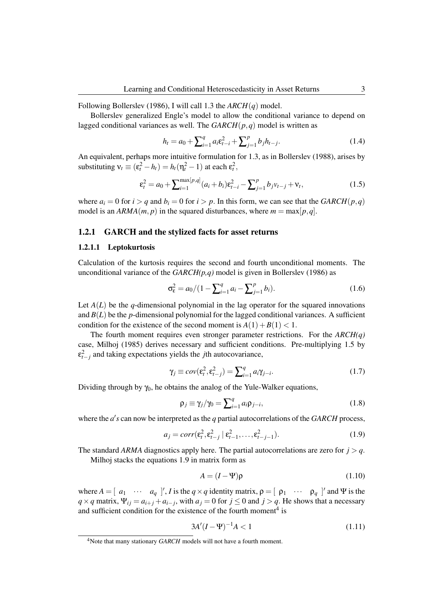Following Bollerslev (1986), I will call 1.3 the *ARCH*(*q*) model.

Bollerslev generalized Engle's model to allow the conditional variance to depend on lagged conditional variances as well. The *GARCH*(*p*,*q*) model is written as

$$
h_t = a_0 + \sum_{i=1}^{q} a_i \varepsilon_{t-i}^2 + \sum_{j=1}^{p} b_j h_{t-j}.
$$
 (1.4)

An equivalent, perhaps more intuitive formulation for 1.3, as in Bollerslev (1988), arises by substituting  $v_t \equiv (\varepsilon_t^2 - h_t) = h_t(\eta_t^2 - 1)$  at each  $\varepsilon_t^2$ ,

$$
\varepsilon_t^2 = a_0 + \sum_{i=1}^{\max[p,q]} (a_i + b_i) \varepsilon_{t-i}^2 - \sum_{j=1}^p b_j v_{t-j} + v_t,
$$
\n(1.5)

where  $a_i = 0$  for  $i > q$  and  $b_i = 0$  for  $i > p$ . In this form, we can see that the *GARCH*( $p, q$ ) model is an  $ARMA(m, p)$  in the squared disturbances, where  $m = \max[p, q]$ .

#### 1.2.1 GARCH and the stylized facts for asset returns

#### 1.2.1.1 Leptokurtosis

Calculation of the kurtosis requires the second and fourth unconditional moments. The unconditional variance of the *GARCH(p,q)* model is given in Bollerslev (1986) as

$$
\sigma_{\varepsilon}^2 = a_0 / (1 - \sum_{i=1}^q a_i - \sum_{j=1}^p b_i).
$$
 (1.6)

Let  $A(L)$  be the *q*-dimensional polynomial in the lag operator for the squared innovations and  $B(L)$  be the *p*-dimensional polynomial for the lagged conditional variances. A sufficient condition for the existence of the second moment is  $A(1) + B(1) < 1$ .

The fourth moment requires even stronger parameter restrictions. For the *ARCH(q)* case, Milhoj (1985) derives necessary and sufficient conditions. Pre-multiplying 1.5 by ε 2 *t*−*j* and taking expectations yields the *j*th autocovariance,

$$
\gamma_j \equiv cov(\varepsilon_t^2, \varepsilon_{t-j}^2) = \sum_{i=1}^q a_i \gamma_{j-i}.
$$
 (1.7)

Dividing through by  $\gamma_0$ , he obtains the analog of the Yule-Walker equations,

$$
\rho_j \equiv \gamma_j/\gamma_0 = \sum_{i=1}^q a_i \rho_{j-i}, \qquad (1.8)
$$

where the  $a$ 's can now be interpreted as the  $q$  partial autocorrelations of the *GARCH* process,

$$
a_j = corr(\varepsilon_t^2, \varepsilon_{t-j}^2 \mid \varepsilon_{t-1}^2, \dots, \varepsilon_{t-j-1}^2). \tag{1.9}
$$

The standard *ARMA* diagnostics apply here. The partial autocorrelations are zero for  $j > q$ .

Milhoj stacks the equations 1.9 in matrix form as

$$
A = (I - \Psi)\rho \tag{1.10}
$$

where  $A = [a_1 \cdots a_q]$ , *I* is the  $q \times q$  identity matrix,  $\rho = [p_1 \cdots p_q]$  and Ψ is the  $q \times q$  matrix,  $\Psi_{ij} = a_{i+j} + a_{i-j}$ , with  $a_j = 0$  for  $j \le 0$  and  $j > q$ . He shows that a necessary and sufficient condition for the existence of the fourth moment<sup>4</sup> is

$$
3A'(I - \Psi)^{-1}A < 1\tag{1.11}
$$

<sup>&</sup>lt;sup>4</sup>Note that many stationary *GARCH* models will not have a fourth moment.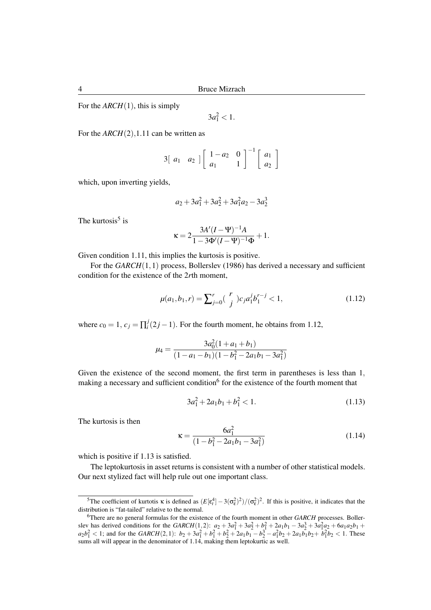For the *ARCH*(1), this is simply

 $3a_1^2 < 1.$ 

For the  $ARCH(2)$ , 1.11 can be written as

$$
3\begin{bmatrix} a_1 & a_2 \end{bmatrix} \begin{bmatrix} 1-a_2 & 0 \\ a_1 & 1 \end{bmatrix}^{-1} \begin{bmatrix} a_1 \\ a_2 \end{bmatrix}
$$

which, upon inverting yields,

$$
a_2 + 3a_1^2 + 3a_2^2 + 3a_1^2a_2 - 3a_2^3
$$

The kurtosis<sup>5</sup> is

$$
\kappa = 2 \frac{3A'(I - \Psi)^{-1}A}{1 - 3\Phi'(I - \Psi)^{-1}\Phi} + 1.
$$

Given condition 1.11, this implies the kurtosis is positive.

For the *GARCH*(1,1) process, Bollerslev (1986) has derived a necessary and sufficient condition for the existence of the 2*r*th moment,

$$
\mu(a_1, b_1, r) = \sum_{j=0}^{r} {r \choose j} c_j a_1^j b_1^{r-j} < 1,
$$
\n(1.12)

where  $c_0 = 1, c_j = \prod_i^j$  $\int_i^j (2j-1)$ . For the fourth moment, he obtains from 1.12,

$$
\mu_4 = \frac{3a_0^2(1+a_1+b_1)}{(1-a_1-b_1)(1-b_1^2-2a_1b_1-3a_1^2)}
$$

Given the existence of the second moment, the first term in parentheses is less than 1, making a necessary and sufficient condition<sup>6</sup> for the existence of the fourth moment that

$$
3a_1^2 + 2a_1b_1 + b_1^2 < 1. \tag{1.13}
$$

The kurtosis is then

$$
\kappa = \frac{6a_1^2}{(1 - b_1^2 - 2a_1b_1 - 3a_1^2)}
$$
(1.14)

which is positive if 1.13 is satisfied.

The leptokurtosis in asset returns is consistent with a number of other statistical models. Our next stylized fact will help rule out one important class.

<sup>&</sup>lt;sup>5</sup>The coefficient of kurtotis  $\kappa$  is defined as  $(E[\epsilon_t^4] - 3(\sigma_{\epsilon}^2)^2)/(\sigma_{\epsilon}^2)^2$ . If this is positive, it indicates that the distribution is "fat-tailed" relative to the normal.

<sup>6</sup>There are no general formulas for the existence of the fourth moment in other *GARCH* processes. Bollerslev has derived conditions for the *GARCH*(1,2):  $a_2 + 3a_1^2 + 3a_2^2 + b_1^2 + 2a_1b_1 - 3a_2^3 + 3a_1^2a_2 + 6a_1a_2b_1 +$  $a_2b_1^2 < 1$ ; and for the  $GARCH(2,1)$ :  $b_2 + 3a_1^2 + b_1^2 + b_2^2 + 2a_1b_1 - b_2^2 - a_1^2b_2 + 2a_1b_1b_2 + b_1^2b_2 < 1$ . These sums all will appear in the denominator of 1.14, making them leptokurtic as well.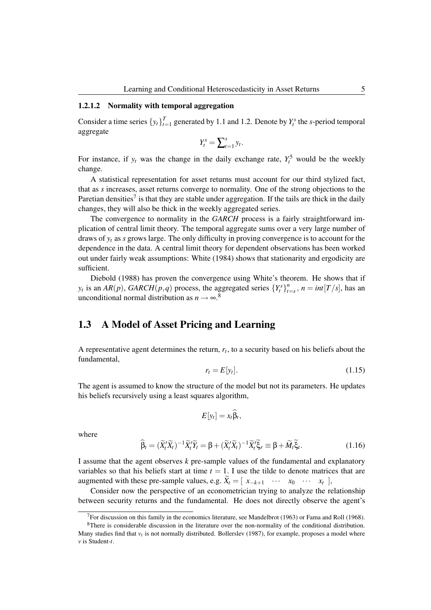#### 1.2.1.2 Normality with temporal aggregation

Consider a time series  $\{y_t\}_{t=1}^T$  $T_{t=1}$  generated by 1.1 and 1.2. Denote by  $Y_t^s$  the *s*-period temporal aggregate

$$
Y_t^s = \sum_{t=1}^s y_t.
$$

For instance, if  $y_t$  was the change in the daily exchange rate,  $Y_t^5$  would be the weekly change.

A statistical representation for asset returns must account for our third stylized fact, that as *s* increases, asset returns converge to normality. One of the strong objections to the Paretian densities<sup>7</sup> is that they are stable under aggregation. If the tails are thick in the daily changes, they will also be thick in the weekly aggregated series.

The convergence to normality in the *GARCH* process is a fairly straightforward implication of central limit theory. The temporal aggregate sums over a very large number of draws of  $y_t$  as *s* grows large. The only difficulty in proving convergence is to account for the dependence in the data. A central limit theory for dependent observations has been worked out under fairly weak assumptions: White (1984) shows that stationarity and ergodicity are sufficient.

Diebold (1988) has proven the convergence using White's theorem. He shows that if *y*<sub>t</sub> is an *AR*(*p*), *GARCH*(*p*,*q*) process, the aggregated series  ${Y_t^s}_{t}$  $\sum_{t=s}^{n}$ ,  $n = int[T/s]$ , has an unconditional normal distribution as  $n \to \infty$ .<sup>8</sup>

# 1.3 A Model of Asset Pricing and Learning

A representative agent determines the return, *r<sup>t</sup>* , to a security based on his beliefs about the fundamental,

$$
r_t = E[y_t]. \tag{1.15}
$$

The agent is assumed to know the structure of the model but not its parameters. He updates his beliefs recursively using a least squares algorithm,

$$
E[y_t] = x_t \widehat{\beta}_t,
$$

where

$$
\widehat{\beta}_t = (\widetilde{X}_t' \widetilde{X}_t)^{-1} \widetilde{X}_t' \widetilde{Y}_t = \beta + (\widetilde{X}_t' \widetilde{X}_t)^{-1} \widetilde{X}_t' \widetilde{\xi}_r \equiv \beta + \widetilde{M}_t \widetilde{\xi}_t.
$$
\n(1.16)

I assume that the agent observes *k* pre-sample values of the fundamental and explanatory variables so that his beliefs start at time  $t = 1$ . I use the tilde to denote matrices that are augmented with these pre-sample values, e.g.  $\widetilde{X}_t = [\begin{array}{ccc} x_{-k+1} & \cdots & x_0 & \cdots & x_t \end{array}]$ 

Consider now the perspective of an econometrician trying to analyze the relationship between security returns and the fundamental. He does not directly observe the agent's

 $7$ For discussion on this family in the economics literature, see Mandelbrot (1963) or Fama and Roll (1968).

<sup>8</sup>There is considerable discussion in the literature over the non-normality of the conditional distribution. Many studies find that  $v_t$  is not normally distributed. Bollerslev (1987), for example, proposes a model where *v* is Student-*t*.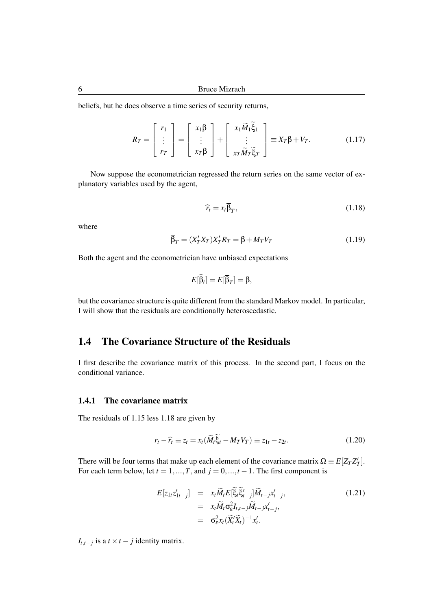beliefs, but he does observe a time series of security returns,

$$
R_T = \begin{bmatrix} r_1 \\ \vdots \\ r_T \end{bmatrix} = \begin{bmatrix} x_1 \beta \\ \vdots \\ x_T \beta \end{bmatrix} + \begin{bmatrix} x_1 \widetilde{M}_1 \widetilde{\xi}_1 \\ \vdots \\ x_T \widetilde{M}_T \widetilde{\xi}_T \end{bmatrix} \equiv X_T \beta + V_T. \tag{1.17}
$$

Now suppose the econometrician regressed the return series on the same vector of explanatory variables used by the agent,

$$
\widehat{r}_t = x_t \beta_T, \tag{1.18}
$$

where

$$
\overline{\beta}_T = (X'_T X_T) X'_T R_T = \beta + M_T V_T \tag{1.19}
$$

Both the agent and the econometrician have unbiased expectations

$$
E[\widehat{\beta}_t] = E[\overline{\beta}_T] = \beta,
$$

but the covariance structure is quite different from the standard Markov model. In particular, I will show that the residuals are conditionally heteroscedastic.

# 1.4 The Covariance Structure of the Residuals

I first describe the covariance matrix of this process. In the second part, I focus on the conditional variance.

## 1.4.1 The covariance matrix

The residuals of 1.15 less 1.18 are given by

$$
r_t - \widehat{r}_t \equiv z_t = x_t (\widetilde{M}_t \widetilde{\xi}_t - M_T V_T) \equiv z_{1t} - z_{2t}.
$$
\n(1.20)

There will be four terms that make up each element of the covariance matrix  $\Omega \equiv E[Z_T Z'_T]$ . For each term below, let  $t = 1, ..., T$ , and  $j = 0, ..., t - 1$ . The first component is

$$
E[z_{1t}z'_{1t-j}] = x_t \widetilde{M}_t E[\widetilde{\xi}_t \widetilde{\xi}'_{t-j}] \widetilde{M}_{t-j} x'_{t-j},
$$
  
\n
$$
= x_t \widetilde{M}_t \sigma_\varepsilon^2 I_{t,t-j} \widetilde{M}_{t-j} x'_{t-j},
$$
  
\n
$$
= \sigma_\varepsilon^2 x_t (\widetilde{X}_t' \widetilde{X}_t)^{-1} x'_t.
$$
\n(1.21)

*I*<sub>t,t−j</sub> is a *t* × *t* − *j* identity matrix.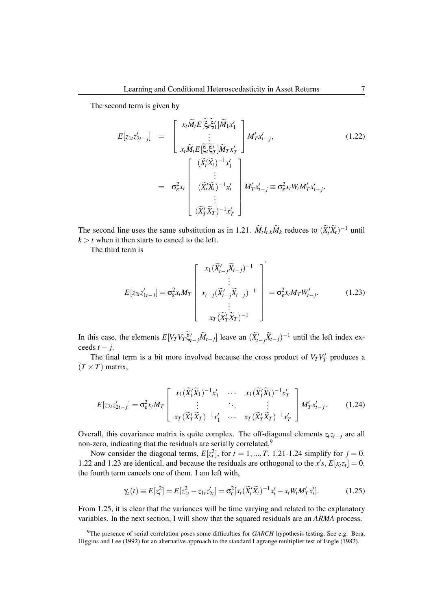The second term is given by

$$
E[z_{1t}z'_{2t-j}] = \begin{bmatrix} x_t \widetilde{M}_t E[\widetilde{\xi}_t \widetilde{\xi}'_1] \widetilde{M}_1 x'_1 \\ \vdots \\ x_t \widetilde{M}_t E[\widetilde{\xi}_t \widetilde{\xi}'_T] \widetilde{M}_T x'_T \end{bmatrix} M'_T x'_{t-j},
$$
(1.22)  

$$
= \sigma_{\varepsilon}^2 x_t \begin{bmatrix} (\widetilde{X}'_t \widetilde{X}_t)^{-1} x'_1 \\ \vdots \\ (\widetilde{X}'_t \widetilde{X}_t)^{-1} x'_t \\ \vdots \\ (\widetilde{X}'_T \widetilde{X}_T)^{-1} x'_T \end{bmatrix} M'_T x'_{t-j} \equiv \sigma_{\varepsilon}^2 x_t W_t M'_T x'_{t-j}.
$$

The second line uses the same substitution as in 1.21.  $\widetilde{M}_t I_{t,k} \widetilde{M}_k$  reduces to  $(\widetilde{X}_t' \widetilde{X}_t)^{-1}$  until  $k > t$  when it then starts to cancel to the left.

The third term is

$$
E[z_{2t}z'_{1t-j}] = \sigma_{\varepsilon}^2 x_t M_T \begin{bmatrix} x_1 (\widetilde{X}'_{t-j} \widetilde{X}_{t-j})^{-1} \\ \vdots \\ x_{t-j} (\widetilde{X}'_{t-j} \widetilde{X}_{t-j})^{-1} \\ \vdots \\ x_T (\widetilde{X}'_T \widetilde{X}_T)^{-1} \end{bmatrix} = \sigma_{\varepsilon}^2 x_t M_T W'_{t-j}.
$$
 (1.23)

In this case, the elements  $E[V_T V_T \tilde{\xi}'_{t-j} \tilde{M}_{t-j}]$  leave an  $(\tilde{X}'_{t-j} \tilde{X}_{t-j})^{-1}$  until the left index exceeds  $t - j$ .

The final term is a bit more involved because the cross product of  $V_T V'_T$  produces a  $(T \times T)$  matrix,

$$
E[z_{2t}z'_{2t-j}] = \sigma_{\varepsilon}^2 x_t M_T \begin{bmatrix} x_1 (\widetilde{X}_1' \widetilde{X}_1)^{-1} x'_1 & \cdots & x_1 (\widetilde{X}_1' \widetilde{X}_1)^{-1} x'_T \\ \vdots & \ddots & \vdots \\ x_T (\widetilde{X}_T' \widetilde{X}_T)^{-1} x'_1 & \cdots & x_T (\widetilde{X}_T' \widetilde{X}_T)^{-1} x'_T \end{bmatrix} M'_T x'_{t-j}.
$$
 (1.24)

Overall, this covariance matrix is quite complex. The off-diagonal elements  $z_t z_{t-j}$  are all non-zero, indicating that the residuals are serially correlated.<sup>9</sup>

Now consider the diagonal terms,  $E[z_t^2]$ , for  $t = 1, ..., T$ . 1.21-1.24 simplify for  $j = 0$ . 1.22 and 1.23 are identical, and because the residuals are orthogonal to the  $x's$ ,  $E[x_t z_t] = 0$ , the fourth term cancels one of them. I am left with,

$$
\gamma_z(t) \equiv E[z_t^2] = E[z_{1t}^2 - z_{1t}z_{2t}'] = \sigma_{\varepsilon}^2 [x_t(\widetilde{X}_t'\widetilde{X}_t)^{-1}x_t' - x_tW_tM_T'x_t'].
$$
(1.25)

From 1.25, it is clear that the variances will be time varying and related to the explanatory variables. In the next section, I will show that the squared residuals are an *ARMA* process.

<sup>9</sup>The presence of serial correlation poses some difficulties for *GARCH* hypothesis testing, See e.g. Bera, Higgins and Lee (1992) for an alternative approach to the standard Lagrange multiplier test of Engle (1982).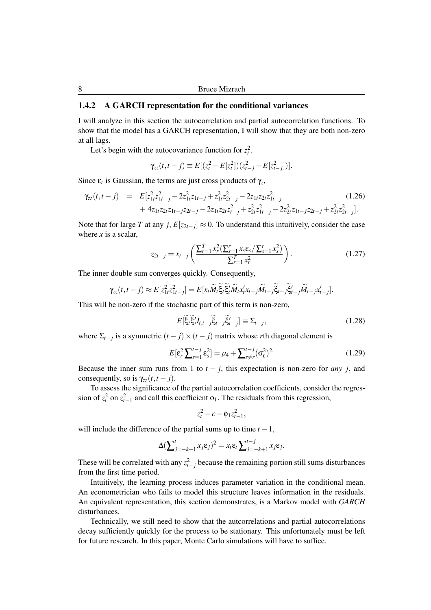## 1.4.2 A GARCH representation for the conditional variances

I will analyze in this section the autocorrelation and partial autocorrelation functions. To show that the model has a GARCH representation, I will show that they are both non-zero at all lags.

Let's begin with the autocovariance function for  $z_t^2$ ,

$$
\gamma_{zz}(t,t-j) \equiv E[(z_t^2 - E[z_t^2])(z_{t-j}^2 - E[z_{t-j}^2])].
$$

Since  $\varepsilon_t$  is Gaussian, the terms are just cross products of  $\gamma_z$ ,

$$
\gamma_{zz}(t, t - j) = E[z_{1t}^2 z_{1t-j}^2 - 2z_{1t}^2 z_{1t-j} + z_{1t}^2 z_{2t-j}^2 - 2z_{1t} z_{2t} z_{1t-j}^2 + 4z_{1t} z_{2t} z_{1t-j} z_{2t-j} - 2z_{1t} z_{2t} z_{t-j}^2 + z_{2t}^2 z_{1t-j}^2 - 2z_{2t}^2 z_{1t-j} z_{2t-j} + z_{2t}^2 z_{2t-j}^2].
$$
\n(1.26)

Note that for large *T* at any *j*,  $E[z_{2t-j}] \approx 0$ . To understand this intuitively, consider the case where  $x$  is a scalar,

$$
z_{2t-j} = x_{t-j} \left( \frac{\sum_{r=1}^{T} x_r^2 (\sum_{s=1}^{r} x_s \mathbf{\varepsilon}_s / \sum_{s=1}^{r} x_s^2)}{\sum_{r=1}^{T} x_r^2} \right).
$$
 (1.27)

The inner double sum converges quickly. Consequently,

$$
\gamma_{zz}(t,t-j) \approx E[z_{1t}^2 z_{1t-j}^2] = E[x_t \widetilde{M}_t \widetilde{\xi}_t \widetilde{\xi}_t' \widetilde{M}_t x_t' x_{t-j} \widetilde{M}_{t-j} \widetilde{\xi}_{t-j} \widetilde{\xi}_{t-j} \widetilde{M}_{t-j} x_{t-j}'].
$$

This will be non-zero if the stochastic part of this term is non-zero,

$$
E\left[\tilde{\xi}_t \tilde{\xi}_t' I_{t,t-j} \tilde{\xi}_{t-j} \tilde{\xi}_{t-j}'\right] \equiv \Sigma_{t-j},\tag{1.28}
$$

where  $\Sigma_{t-j}$  is a symmetric  $(t-j) \times (t-j)$  matrix whose *r*th diagonal element is

$$
E\left[\varepsilon_r^2 \sum_{s=1}^{t-j} \varepsilon_s^2\right] = \mu_4 + \sum_{s\neq r}^{t-j} (\sigma_\varepsilon^2)^2
$$
 (1.29)

Because the inner sum runs from 1 to  $t - j$ , this expectation is non-zero for *any j*, and consequently, so is  $\gamma_{zz}(t, t - j)$ .

To assess the significance of the partial autocorrelation coefficients, consider the regression of  $z_t^2$  on  $z_{t-1}^2$  and call this coefficient  $\phi_1$ . The residuals from this regression,

$$
z_t^2 - c - \phi_1 z_{t-1}^2,
$$

will include the difference of the partial sums up to time  $t - 1$ ,

$$
\Delta \big(\sum_{j=-k+1}^{t} x_j \varepsilon_j\big)^2 = x_t \varepsilon_t \sum_{j=-k+1}^{t-j} x_j \varepsilon_j.
$$

These will be correlated with any  $z_{t-j}^2$  because the remaining portion still sums disturbances from the first time period.

Intuitively, the learning process induces parameter variation in the conditional mean. An econometrician who fails to model this structure leaves information in the residuals. An equivalent representation, this section demonstrates, is a Markov model with *GARCH* disturbances.

Technically, we still need to show that the autcorrelations and partial autocorrelations decay sufficiently quickly for the process to be stationary. This unfortunately must be left for future research. In this paper, Monte Carlo simulations will have to suffice.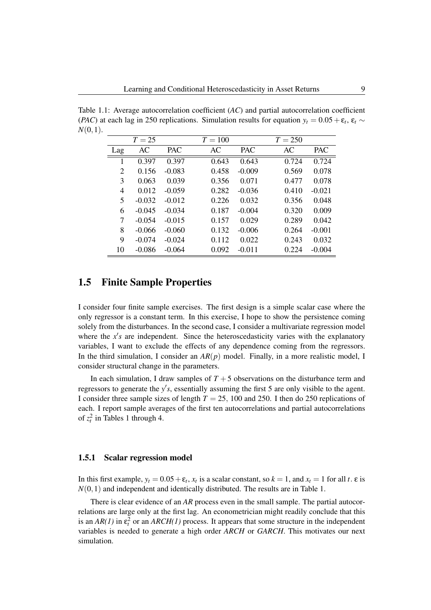Table 1.1: Average autocorrelation coefficient (*AC*) and partial autocorrelation coefficient (*PAC*) at each lag in 250 replications. Simulation results for equation  $y_t = 0.05 + \varepsilon_t$ ,  $\varepsilon_t \sim$ *N*(0,1).

|                | $T=25$   |            | $T = 100$ |            | $T = 250$ |            |
|----------------|----------|------------|-----------|------------|-----------|------------|
| Lag            | AC       | <b>PAC</b> | AC        | <b>PAC</b> | AC        | <b>PAC</b> |
|                | 0.397    | 0.397      | 0.643     | 0.643      | 0.724     | 0.724      |
| $\overline{c}$ | 0.156    | $-0.083$   | 0.458     | $-0.009$   | 0.569     | 0.078      |
| 3              | 0.063    | 0.039      | 0.356     | 0.071      | 0.477     | 0.078      |
| 4              | 0.012    | $-0.059$   | 0.282     | $-0.036$   | 0.410     | $-0.021$   |
| 5              | $-0.032$ | $-0.012$   | 0.226     | 0.032      | 0.356     | 0.048      |
| 6              | $-0.045$ | $-0.034$   | 0.187     | $-0.004$   | 0.320     | 0.009      |
| 7              | $-0.054$ | $-0.015$   | 0.157     | 0.029      | 0.289     | 0.042      |
| 8              | $-0.066$ | $-0.060$   | 0.132     | $-0.006$   | 0.264     | $-0.001$   |
| 9              | $-0.074$ | $-0.024$   | 0.112     | 0.022      | 0.243     | 0.032      |
| 10             | $-0.086$ | $-0.064$   | 0.092     | $-0.011$   | 0.224     | $-0.004$   |

# 1.5 Finite Sample Properties

I consider four finite sample exercises. The first design is a simple scalar case where the only regressor is a constant term. In this exercise, I hope to show the persistence coming solely from the disturbances. In the second case, I consider a multivariate regression model where the  $x's$  are independent. Since the heteroscedasticity varies with the explanatory variables, I want to exclude the effects of any dependence coming from the regressors. In the third simulation, I consider an *AR*(*p*) model. Finally, in a more realistic model, I consider structural change in the parameters.

In each simulation, I draw samples of  $T + 5$  observations on the disturbance term and regressors to generate the  $y's$ , essentially assuming the first 5 are only visible to the agent. I consider three sample sizes of length *T* = 25, 100 and 250. I then do 250 replications of each. I report sample averages of the first ten autocorrelations and partial autocorrelations of  $z_t^2$  in Tables 1 through 4.

#### 1.5.1 Scalar regression model

In this first example,  $y_t = 0.05 + \varepsilon_t$ ,  $x_t$  is a scalar constant, so  $k = 1$ , and  $x_t = 1$  for all  $t$ .  $\varepsilon$  is  $N(0,1)$  and independent and identically distributed. The results are in Table 1.

There is clear evidence of an *AR* process even in the small sample. The partial autocorrelations are large only at the first lag. An econometrician might readily conclude that this is an  $AR(1)$  in  $\varepsilon_t^2$  or an  $ARCH(1)$  process. It appears that some structure in the independent variables is needed to generate a high order *ARCH* or *GARCH*. This motivates our next simulation.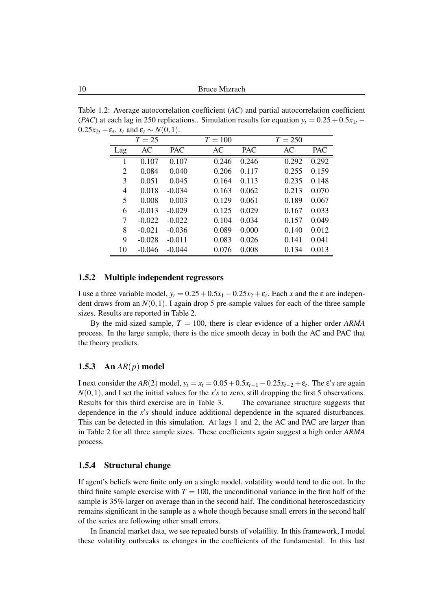Table 1.2: Average autocorrelation coefficient (*AC*) and partial autocorrelation coefficient (*PAC*) at each lag in 250 replications.. Simulation results for equation  $y_t = 0.25 + 0.5x_{1t}$  −  $0.25x_{2t} + \varepsilon_t$ ,  $x_t$  and  $\varepsilon_t \sim N(0,1)$ .

|     | $T=25$   |            | $T = 100$ |            | $T = 250$ |            |
|-----|----------|------------|-----------|------------|-----------|------------|
| Lag | AC       | <b>PAC</b> | AC        | <b>PAC</b> | AC        | <b>PAC</b> |
|     | 0.107    | 0.107      | 0.246     | 0.246      | 0.292     | 0.292      |
| 2   | 0.084    | 0.040      | 0.206     | 0.117      | 0.255     | 0.159      |
| 3   | 0.051    | 0.045      | 0.164     | 0.113      | 0.235     | 0.148      |
| 4   | 0.018    | $-0.034$   | 0.163     | 0.062      | 0.213     | 0.070      |
| 5   | 0.008    | 0.003      | 0.129     | 0.061      | 0.189     | 0.067      |
| 6   | $-0.013$ | $-0.029$   | 0.125     | 0.029      | 0.167     | 0.033      |
| 7   | $-0.022$ | $-0.022$   | 0.104     | 0.034      | 0.157     | 0.049      |
| 8   | $-0.021$ | $-0.036$   | 0.089     | 0.000      | 0.140     | 0.012      |
| 9   | $-0.028$ | $-0.011$   | 0.083     | 0.026      | 0.141     | 0.041      |
| 10  | $-0.046$ | $-0.044$   | 0.076     | 0.008      | 0.134     | 0.013      |

## 1.5.2 Multiple independent regressors

I use a three variable model,  $y_t = 0.25 + 0.5x_1 - 0.25x_2 + \varepsilon_t$ . Each *x* and the ε are independent draws from an  $N(0,1)$ . I again drop 5 pre-sample values for each of the three sample sizes. Results are reported in Table 2.

By the mid-sized sample,  $T = 100$ , there is clear evidence of a higher order *ARMA* process. In the large sample, there is the nice smooth decay in both the AC and PAC that the theory predicts.

## 1.5.3 An *AR*(*p*) model

I next consider the  $AR(2)$  model,  $y_t = x_t = 0.05 + 0.5x_{t-1} - 0.25x_{t-2} + \varepsilon_t$ . The  $\varepsilon's$  are again  $N(0, 1)$ , and I set the initial values for the  $x's$  to zero, still dropping the first 5 observations. Results for this third exercise are in Table 3. The covariance structure suggests that dependence in the  $x's$  should induce additional dependence in the squared disturbances. This can be detected in this simulation. At lags 1 and 2, the AC and PAC are larger than in Table 2 for all three sample sizes. These coefficients again suggest a high order *ARMA* process.

## 1.5.4 Structural change

If agent's beliefs were finite only on a single model, volatility would tend to die out. In the third finite sample exercise with  $T = 100$ , the unconditional variance in the first half of the sample is 35% larger on average than in the second half. The conditional heteroscedasticity remains significant in the sample as a whole though because small errors in the second half of the series are following other small errors.

In financial market data, we see repeated bursts of volatility. In this framework, I model these volatility outbreaks as changes in the coefficients of the fundamental. In this last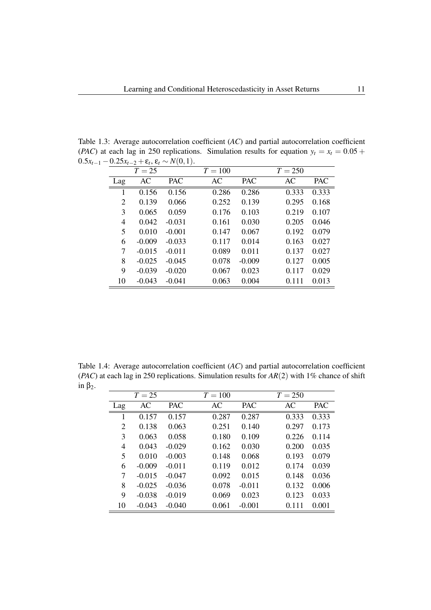Table 1.3: Average autocorrelation coefficient (*AC*) and partial autocorrelation coefficient (*PAC*) at each lag in 250 replications. Simulation results for equation  $y_t = x_t = 0.05 +$  $0.5x<sub>t-1</sub> - 0.25x<sub>t-2</sub> + ε<sub>t</sub>, ε<sub>t</sub> ∼ N(0,1).$ 

|                | $T=25$   |            | $T = 100$ |            | $T = 250$ |            |
|----------------|----------|------------|-----------|------------|-----------|------------|
| Lag            | AC       | <b>PAC</b> | AC        | <b>PAC</b> | AC        | <b>PAC</b> |
| 1              | 0.156    | 0.156      | 0.286     | 0.286      | 0.333     | 0.333      |
| $\overline{2}$ | 0.139    | 0.066      | 0.252     | 0.139      | 0.295     | 0.168      |
| 3              | 0.065    | 0.059      | 0.176     | 0.103      | 0.219     | 0.107      |
| 4              | 0.042    | $-0.031$   | 0.161     | 0.030      | 0.205     | 0.046      |
| 5              | 0.010    | $-0.001$   | 0.147     | 0.067      | 0.192     | 0.079      |
| 6              | $-0.009$ | $-0.033$   | 0.117     | 0.014      | 0.163     | 0.027      |
| 7              | $-0.015$ | $-0.011$   | 0.089     | 0.011      | 0.137     | 0.027      |
| 8              | $-0.025$ | $-0.045$   | 0.078     | $-0.009$   | 0.127     | 0.005      |
| 9              | $-0.039$ | $-0.020$   | 0.067     | 0.023      | 0.117     | 0.029      |
| 10             | $-0.043$ | $-0.041$   | 0.063     | 0.004      | 0.111     | 0.013      |

Table 1.4: Average autocorrelation coefficient (*AC*) and partial autocorrelation coefficient (*PAC*) at each lag in 250 replications. Simulation results for *AR*(2) with 1% chance of shift in  $β_2$ .

|     | $T=25$   |            | $T = 100$ |            | $T = 250$ |            |
|-----|----------|------------|-----------|------------|-----------|------------|
| Lag | AC       | <b>PAC</b> | AC        | <b>PAC</b> | AC        | <b>PAC</b> |
| 1   | 0.157    | 0.157      | 0.287     | 0.287      | 0.333     | 0.333      |
| 2   | 0.138    | 0.063      | 0.251     | 0.140      | 0.297     | 0.173      |
| 3   | 0.063    | 0.058      | 0.180     | 0.109      | 0.226     | 0.114      |
| 4   | 0.043    | $-0.029$   | 0.162     | 0.030      | 0.200     | 0.035      |
| 5   | 0.010    | $-0.003$   | 0.148     | 0.068      | 0.193     | 0.079      |
| 6   | $-0.009$ | $-0.011$   | 0.119     | 0.012      | 0.174     | 0.039      |
| 7   | $-0.015$ | $-0.047$   | 0.092     | 0.015      | 0.148     | 0.036      |
| 8   | $-0.025$ | $-0.036$   | 0.078     | $-0.011$   | 0.132     | 0.006      |
| 9   | $-0.038$ | $-0.019$   | 0.069     | 0.023      | 0.123     | 0.033      |
| 10  | $-0.043$ | $-0.040$   | 0.061     | $-0.001$   | 0.111     | 0.001      |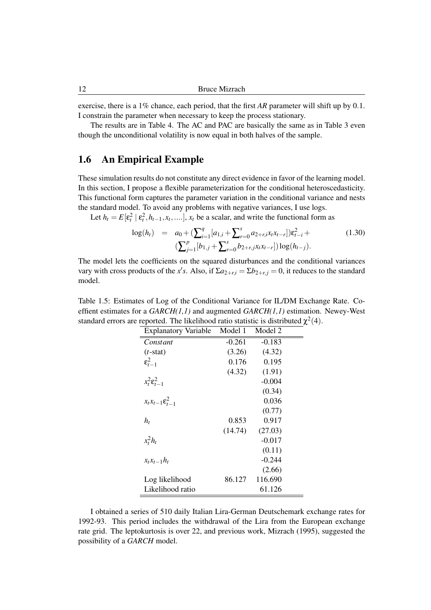exercise, there is a 1% chance, each period, that the first *AR* parameter will shift up by 0.1. I constrain the parameter when necessary to keep the process stationary.

The results are in Table 4. The AC and PAC are basically the same as in Table 3 even though the unconditional volatility is now equal in both halves of the sample.

# 1.6 An Empirical Example

These simulation results do not constitute any direct evidence in favor of the learning model. In this section, I propose a flexible parameterization for the conditional heteroscedasticity. This functional form captures the parameter variation in the conditional variance and nests the standard model. To avoid any problems with negative variances, I use logs.

Let  $h_t = E[\varepsilon_t^2 | \varepsilon_t^2, h_{t-1}, x_t, \ldots], x_t$  be a scalar, and write the functional form as

$$
\log(h_t) = a_0 + \left(\sum_{i=1}^q [a_{1,i} + \sum_{r=0}^s a_{2+r,i}x_tx_{t-r}]\right)\varepsilon_{t-i}^2 + \left(\sum_{j=1}^p [b_{1,j} + \sum_{r=0}^s b_{2+r,j}x_tx_{t-r}]\right)\log(h_{t-j}).
$$
\n(1.30)

The model lets the coefficients on the squared disturbances and the conditional variances vary with cross products of the *x's*. Also, if  $\Sigma a_{2+r,i} = \Sigma b_{2+r,j} = 0$ , it reduces to the standard model.

| <b>Explanatory Variable</b>       | Model 1  | Model 2  |
|-----------------------------------|----------|----------|
| Constant                          | $-0.261$ | $-0.183$ |
| $(t$ -stat)                       | (3.26)   | (4.32)   |
| $\varepsilon_{t-1}^2$             | 0.176    | 0.195    |
|                                   | (4.32)   | (1.91)   |
| $x_t^2 \varepsilon_{t-1}^2$       |          | $-0.004$ |
|                                   |          | (0.34)   |
| $x_t x_{t-1} \varepsilon_{t-1}^2$ |          | 0.036    |
|                                   |          | (0.77)   |
| $h_t$                             | 0.853    | 0.917    |
|                                   | (14.74)  | (27.03)  |
| $x_t^2 h_t$                       |          | $-0.017$ |
|                                   |          | (0.11)   |
| $x_t x_{t-1} h_t$                 |          | $-0.244$ |
|                                   |          | (2.66)   |
| Log likelihood                    | 86.127   | 116.690  |
| Likelihood ratio                  |          | 61.126   |

Table 1.5: Estimates of Log of the Conditional Variance for IL/DM Exchange Rate. Coeffient estimates for a *GARCH(1,1)* and augmented *GARCH(1,1)* estimation. Newey-West standard errors are reported. The likelihood ratio statistic is distributed  $\chi^2(4)$ .

I obtained a series of 510 daily Italian Lira-German Deutschemark exchange rates for 1992-93. This period includes the withdrawal of the Lira from the European exchange rate grid. The leptokurtosis is over 22, and previous work, Mizrach (1995), suggested the possibility of a *GARCH* model.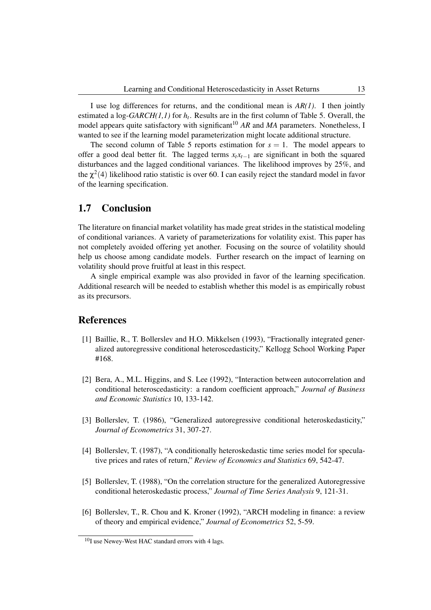I use log differences for returns, and the conditional mean is *AR(1)*. I then jointly estimated a log-*GARCH(1,1)* for *h<sup>t</sup>* . Results are in the first column of Table 5. Overall, the model appears quite satisfactory with significant<sup>10</sup> AR and MA parameters. Nonetheless, I wanted to see if the learning model parameterization might locate additional structure.

The second column of Table 5 reports estimation for  $s = 1$ . The model appears to offer a good deal better fit. The lagged terms  $x_t x_{t-1}$  are significant in both the squared disturbances and the lagged conditional variances. The likelihood improves by 25%, and the  $\chi^2(4)$  likelihood ratio statistic is over 60. I can easily reject the standard model in favor of the learning specification.

## 1.7 Conclusion

The literature on financial market volatility has made great strides in the statistical modeling of conditional variances. A variety of parameterizations for volatility exist. This paper has not completely avoided offering yet another. Focusing on the source of volatility should help us choose among candidate models. Further research on the impact of learning on volatility should prove fruitful at least in this respect.

A single empirical example was also provided in favor of the learning specification. Additional research will be needed to establish whether this model is as empirically robust as its precursors.

## References

- [1] Baillie, R., T. Bollerslev and H.O. Mikkelsen (1993), "Fractionally integrated generalized autoregressive conditional heteroscedasticity," Kellogg School Working Paper #168.
- [2] Bera, A., M.L. Higgins, and S. Lee (1992), "Interaction between autocorrelation and conditional heteroscedasticity: a random coefficient approach," *Journal of Business and Economic Statistics* 10, 133-142.
- [3] Bollerslev, T. (1986), "Generalized autoregressive conditional heteroskedasticity," *Journal of Econometrics* 31, 307-27.
- [4] Bollerslev, T. (1987), "A conditionally heteroskedastic time series model for speculative prices and rates of return," *Review of Economics and Statistics* 69, 542-47.
- [5] Bollerslev, T. (1988), "On the correlation structure for the generalized Autoregressive conditional heteroskedastic process," *Journal of Time Series Analysis* 9, 121-31.
- [6] Bollerslev, T., R. Chou and K. Kroner (1992), "ARCH modeling in finance: a review of theory and empirical evidence," *Journal of Econometrics* 52, 5-59.

 $10$ I use Newey-West HAC standard errors with 4 lags.